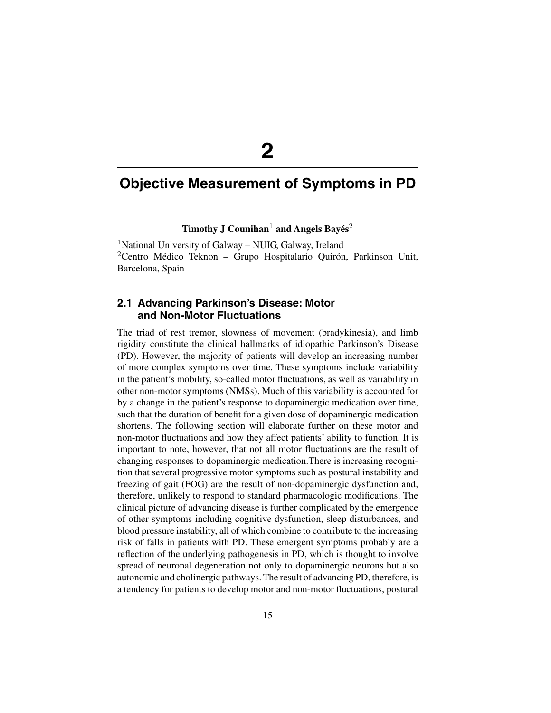# **2**

## **Objective Measurement of Symptoms in PD**

## **Timothy J Counihan**<sup>1</sup> **and Angels Bayés**<sup>2</sup>

<sup>1</sup>National University of Galway – NUIG, Galway, Ireland  $2$ Centro Médico Teknon – Grupo Hospitalario Quirón, Parkinson Unit, Barcelona, Spain

## **2.1 Advancing Parkinson's Disease: Motor and Non-Motor Fluctuations**

The triad of rest tremor, slowness of movement (bradykinesia), and limb rigidity constitute the clinical hallmarks of idiopathic Parkinson's Disease (PD). However, the majority of patients will develop an increasing number of more complex symptoms over time. These symptoms include variability in the patient's mobility, so-called motor fluctuations, as well as variability in other non-motor symptoms (NMSs). Much of this variability is accounted for by a change in the patient's response to dopaminergic medication over time, such that the duration of benefit for a given dose of dopaminergic medication shortens. The following section will elaborate further on these motor and non-motor fluctuations and how they affect patients' ability to function. It is important to note, however, that not all motor fluctuations are the result of changing responses to dopaminergic medication.There is increasing recognition that several progressive motor symptoms such as postural instability and freezing of gait (FOG) are the result of non-dopaminergic dysfunction and, therefore, unlikely to respond to standard pharmacologic modifications. The clinical picture of advancing disease is further complicated by the emergence of other symptoms including cognitive dysfunction, sleep disturbances, and blood pressure instability, all of which combine to contribute to the increasing risk of falls in patients with PD. These emergent symptoms probably are a reflection of the underlying pathogenesis in PD, which is thought to involve spread of neuronal degeneration not only to dopaminergic neurons but also autonomic and cholinergic pathways. The result of advancing PD, therefore, is a tendency for patients to develop motor and non-motor fluctuations, postural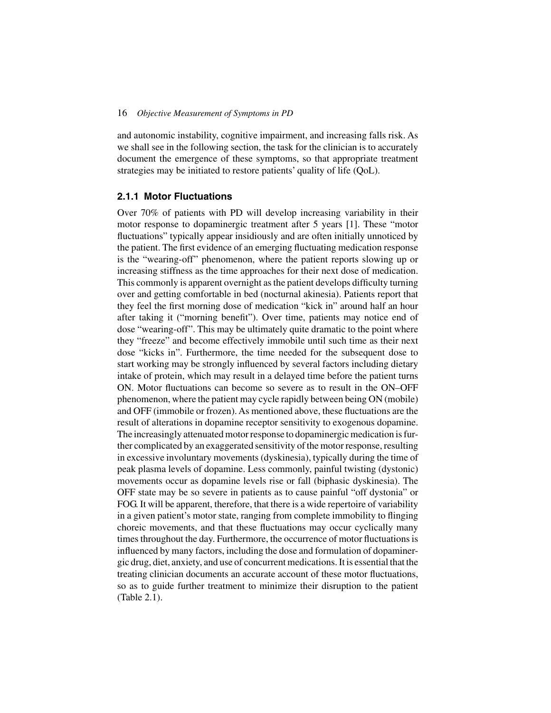and autonomic instability, cognitive impairment, and increasing falls risk. As we shall see in the following section, the task for the clinician is to accurately document the emergence of these symptoms, so that appropriate treatment strategies may be initiated to restore patients' quality of life (QoL).

#### **2.1.1 Motor Fluctuations**

Over 70% of patients with PD will develop increasing variability in their motor response to dopaminergic treatment after 5 years [1]. These "motor fluctuations" typically appear insidiously and are often initially unnoticed by the patient. The first evidence of an emerging fluctuating medication response is the "wearing-off" phenomenon, where the patient reports slowing up or increasing stiffness as the time approaches for their next dose of medication. This commonly is apparent overnight as the patient develops difficulty turning over and getting comfortable in bed (nocturnal akinesia). Patients report that they feel the first morning dose of medication "kick in" around half an hour after taking it ("morning benefit"). Over time, patients may notice end of dose "wearing-off". This may be ultimately quite dramatic to the point where they "freeze" and become effectively immobile until such time as their next dose "kicks in". Furthermore, the time needed for the subsequent dose to start working may be strongly influenced by several factors including dietary intake of protein, which may result in a delayed time before the patient turns ON. Motor fluctuations can become so severe as to result in the ON–OFF phenomenon, where the patient may cycle rapidly between being ON (mobile) and OFF (immobile or frozen). As mentioned above, these fluctuations are the result of alterations in dopamine receptor sensitivity to exogenous dopamine. The increasingly attenuated motor response to dopaminergic medication is further complicated by an exaggerated sensitivity of the motor response, resulting in excessive involuntary movements (dyskinesia), typically during the time of peak plasma levels of dopamine. Less commonly, painful twisting (dystonic) movements occur as dopamine levels rise or fall (biphasic dyskinesia). The OFF state may be so severe in patients as to cause painful "off dystonia" or FOG. It will be apparent, therefore, that there is a wide repertoire of variability in a given patient's motor state, ranging from complete immobility to flinging choreic movements, and that these fluctuations may occur cyclically many times throughout the day. Furthermore, the occurrence of motor fluctuations is influenced by many factors, including the dose and formulation of dopaminergic drug, diet, anxiety, and use of concurrent medications. It is essential that the treating clinician documents an accurate account of these motor fluctuations, so as to guide further treatment to minimize their disruption to the patient (Table 2.1).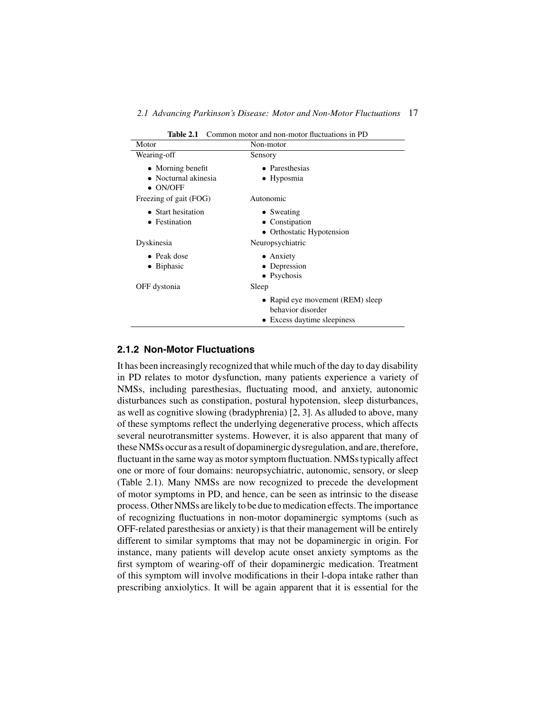*2.1 Advancing Parkinson's Disease: Motor and Non-Motor Fluctuations* 17

| TAUIC 4.1<br>Common motor and non-motor nucleations in FD |                                  |
|-----------------------------------------------------------|----------------------------------|
| Motor                                                     | Non-motor                        |
| Wearing-off                                               | Sensory                          |
| • Morning benefit                                         | • Paresthesias                   |
| • Nocturnal akinesia                                      | $\bullet$ Hyposmia               |
| $\bullet$ ON/OFF                                          |                                  |
| Freezing of gait (FOG)                                    | Autonomic                        |
| • Start hesitation                                        | • Sweating                       |
| • Festination                                             | • Constipation                   |
|                                                           | • Orthostatic Hypotension        |
| Dyskinesia                                                | Neuropsychiatric                 |
| $\bullet$ Peak dose                                       | $\bullet$ Anxiety                |
| • Biphasic                                                | • Depression                     |
|                                                           | • Psychosis                      |
| OFF dystonia                                              | Sleep                            |
|                                                           | • Rapid eye movement (REM) sleep |
|                                                           | behavior disorder                |
|                                                           | • Excess daytime sleepiness      |

**Table 2.1** Common motor and non-motor fluctuations in PD

#### **2.1.2 Non-Motor Fluctuations**

It has been increasingly recognized that while much of the day to day disability in PD relates to motor dysfunction, many patients experience a variety of NMSs, including paresthesias, fluctuating mood, and anxiety, autonomic disturbances such as constipation, postural hypotension, sleep disturbances, as well as cognitive slowing (bradyphrenia) [2, 3]. As alluded to above, many of these symptoms reflect the underlying degenerative process, which affects several neurotransmitter systems. However, it is also apparent that many of these NMSs occur as a result of dopaminergic dysregulation, and are, therefore, fluctuant in the same way as motor symptom fluctuation. NMSs typically affect one or more of four domains: neuropsychiatric, autonomic, sensory, or sleep (Table 2.1). Many NMSs are now recognized to precede the development of motor symptoms in PD, and hence, can be seen as intrinsic to the disease process. Other NMSs are likely to be due to medication effects. The importance of recognizing fluctuations in non-motor dopaminergic symptoms (such as OFF-related paresthesias or anxiety) is that their management will be entirely different to similar symptoms that may not be dopaminergic in origin. For instance, many patients will develop acute onset anxiety symptoms as the first symptom of wearing-off of their dopaminergic medication. Treatment of this symptom will involve modifications in their l-dopa intake rather than prescribing anxiolytics. It will be again apparent that it is essential for the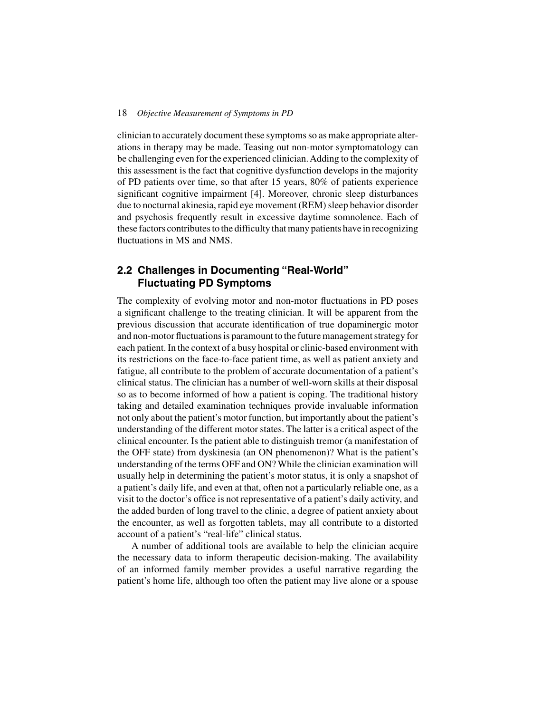clinician to accurately document these symptoms so as make appropriate alterations in therapy may be made. Teasing out non-motor symptomatology can be challenging even for the experienced clinician.Adding to the complexity of this assessment is the fact that cognitive dysfunction develops in the majority of PD patients over time, so that after 15 years, 80% of patients experience significant cognitive impairment [4]. Moreover, chronic sleep disturbances due to nocturnal akinesia, rapid eye movement (REM) sleep behavior disorder and psychosis frequently result in excessive daytime somnolence. Each of these factors contributes to the difficulty that many patients have in recognizing fluctuations in MS and NMS.

## **2.2 Challenges in Documenting "Real-World" Fluctuating PD Symptoms**

The complexity of evolving motor and non-motor fluctuations in PD poses a significant challenge to the treating clinician. It will be apparent from the previous discussion that accurate identification of true dopaminergic motor and non-motor fluctuations is paramount to the future management strategy for each patient. In the context of a busy hospital or clinic-based environment with its restrictions on the face-to-face patient time, as well as patient anxiety and fatigue, all contribute to the problem of accurate documentation of a patient's clinical status. The clinician has a number of well-worn skills at their disposal so as to become informed of how a patient is coping. The traditional history taking and detailed examination techniques provide invaluable information not only about the patient's motor function, but importantly about the patient's understanding of the different motor states. The latter is a critical aspect of the clinical encounter. Is the patient able to distinguish tremor (a manifestation of the OFF state) from dyskinesia (an ON phenomenon)? What is the patient's understanding of the terms OFF and ON? While the clinician examination will usually help in determining the patient's motor status, it is only a snapshot of a patient's daily life, and even at that, often not a particularly reliable one, as a visit to the doctor's office is not representative of a patient's daily activity, and the added burden of long travel to the clinic, a degree of patient anxiety about the encounter, as well as forgotten tablets, may all contribute to a distorted account of a patient's "real-life" clinical status.

A number of additional tools are available to help the clinician acquire the necessary data to inform therapeutic decision-making. The availability of an informed family member provides a useful narrative regarding the patient's home life, although too often the patient may live alone or a spouse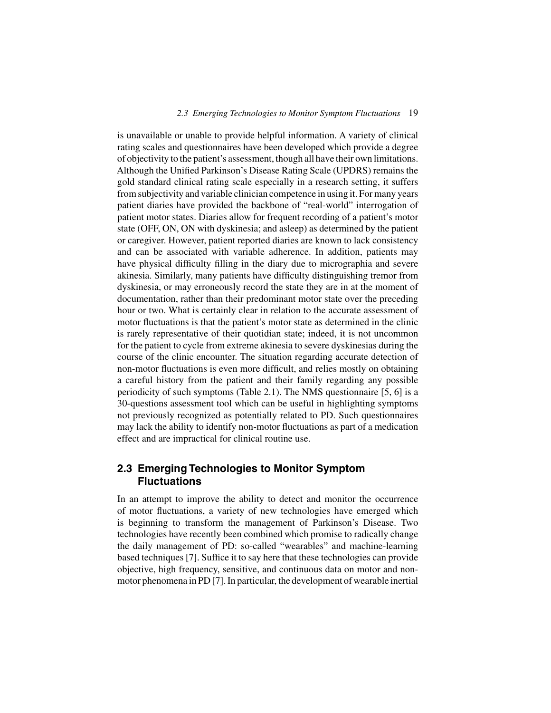is unavailable or unable to provide helpful information. A variety of clinical rating scales and questionnaires have been developed which provide a degree of objectivity to the patient's assessment, though all have their own limitations. Although the Unified Parkinson's Disease Rating Scale (UPDRS) remains the gold standard clinical rating scale especially in a research setting, it suffers from subjectivity and variable clinician competence in using it. For many years patient diaries have provided the backbone of "real-world" interrogation of patient motor states. Diaries allow for frequent recording of a patient's motor state (OFF, ON, ON with dyskinesia; and asleep) as determined by the patient or caregiver. However, patient reported diaries are known to lack consistency and can be associated with variable adherence. In addition, patients may have physical difficulty filling in the diary due to micrographia and severe akinesia. Similarly, many patients have difficulty distinguishing tremor from dyskinesia, or may erroneously record the state they are in at the moment of documentation, rather than their predominant motor state over the preceding hour or two. What is certainly clear in relation to the accurate assessment of motor fluctuations is that the patient's motor state as determined in the clinic is rarely representative of their quotidian state; indeed, it is not uncommon for the patient to cycle from extreme akinesia to severe dyskinesias during the course of the clinic encounter. The situation regarding accurate detection of non-motor fluctuations is even more difficult, and relies mostly on obtaining a careful history from the patient and their family regarding any possible periodicity of such symptoms (Table 2.1). The NMS questionnaire [5, 6] is a 30-questions assessment tool which can be useful in highlighting symptoms not previously recognized as potentially related to PD. Such questionnaires may lack the ability to identify non-motor fluctuations as part of a medication effect and are impractical for clinical routine use.

## **2.3 Emerging Technologies to Monitor Symptom Fluctuations**

In an attempt to improve the ability to detect and monitor the occurrence of motor fluctuations, a variety of new technologies have emerged which is beginning to transform the management of Parkinson's Disease. Two technologies have recently been combined which promise to radically change the daily management of PD: so-called "wearables" and machine-learning based techniques [7]. Suffice it to say here that these technologies can provide objective, high frequency, sensitive, and continuous data on motor and nonmotor phenomena in PD [7]. In particular, the development of wearable inertial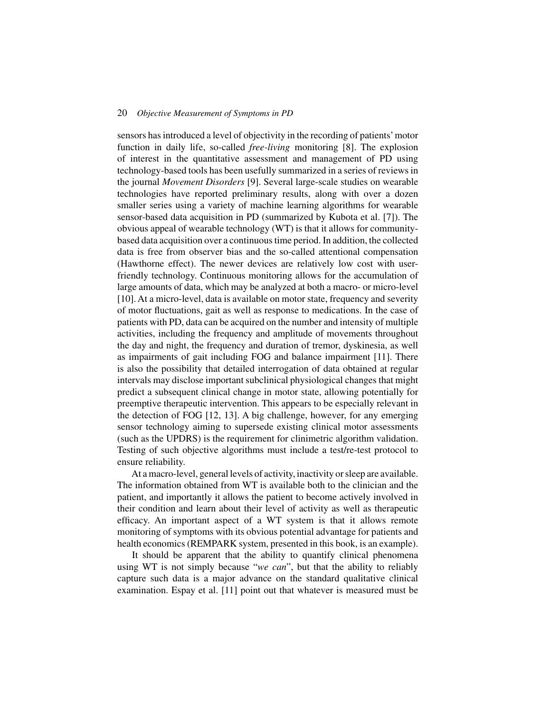sensors has introduced a level of objectivity in the recording of patients'motor function in daily life, so-called *free-living* monitoring [8]. The explosion of interest in the quantitative assessment and management of PD using technology-based tools has been usefully summarized in a series of reviews in the journal *Movement Disorders* [9]. Several large-scale studies on wearable technologies have reported preliminary results, along with over a dozen smaller series using a variety of machine learning algorithms for wearable sensor-based data acquisition in PD (summarized by Kubota et al. [7]). The obvious appeal of wearable technology (WT) is that it allows for communitybased data acquisition over a continuous time period. In addition, the collected data is free from observer bias and the so-called attentional compensation (Hawthorne effect). The newer devices are relatively low cost with userfriendly technology. Continuous monitoring allows for the accumulation of large amounts of data, which may be analyzed at both a macro- or micro-level [10]. At a micro-level, data is available on motor state, frequency and severity of motor fluctuations, gait as well as response to medications. In the case of patients with PD, data can be acquired on the number and intensity of multiple activities, including the frequency and amplitude of movements throughout the day and night, the frequency and duration of tremor, dyskinesia, as well as impairments of gait including FOG and balance impairment [11]. There is also the possibility that detailed interrogation of data obtained at regular intervals may disclose important subclinical physiological changes that might predict a subsequent clinical change in motor state, allowing potentially for preemptive therapeutic intervention. This appears to be especially relevant in the detection of FOG [12, 13]. A big challenge, however, for any emerging sensor technology aiming to supersede existing clinical motor assessments (such as the UPDRS) is the requirement for clinimetric algorithm validation. Testing of such objective algorithms must include a test/re-test protocol to ensure reliability.

At a macro-level, general levels of activity, inactivity or sleep are available. The information obtained from WT is available both to the clinician and the patient, and importantly it allows the patient to become actively involved in their condition and learn about their level of activity as well as therapeutic efficacy. An important aspect of a WT system is that it allows remote monitoring of symptoms with its obvious potential advantage for patients and health economics (REMPARK system, presented in this book, is an example).

It should be apparent that the ability to quantify clinical phenomena using WT is not simply because "*we can*", but that the ability to reliably capture such data is a major advance on the standard qualitative clinical examination. Espay et al. [11] point out that whatever is measured must be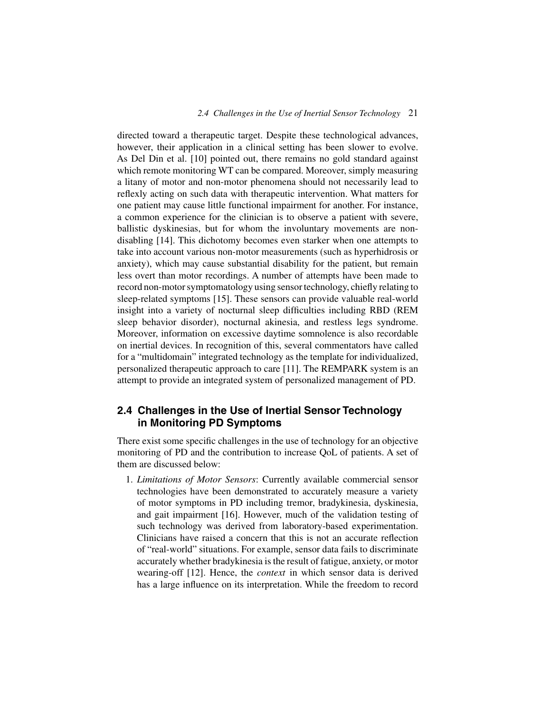directed toward a therapeutic target. Despite these technological advances, however, their application in a clinical setting has been slower to evolve. As Del Din et al. [10] pointed out, there remains no gold standard against which remote monitoring WT can be compared. Moreover, simply measuring a litany of motor and non-motor phenomena should not necessarily lead to reflexly acting on such data with therapeutic intervention. What matters for one patient may cause little functional impairment for another. For instance, a common experience for the clinician is to observe a patient with severe, ballistic dyskinesias, but for whom the involuntary movements are nondisabling [14]. This dichotomy becomes even starker when one attempts to take into account various non-motor measurements (such as hyperhidrosis or anxiety), which may cause substantial disability for the patient, but remain less overt than motor recordings. A number of attempts have been made to record non-motor symptomatology using sensor technology, chiefly relating to sleep-related symptoms [15]. These sensors can provide valuable real-world insight into a variety of nocturnal sleep difficulties including RBD (REM sleep behavior disorder), nocturnal akinesia, and restless legs syndrome. Moreover, information on excessive daytime somnolence is also recordable on inertial devices. In recognition of this, several commentators have called for a "multidomain" integrated technology as the template for individualized, personalized therapeutic approach to care [11]. The REMPARK system is an attempt to provide an integrated system of personalized management of PD.

## **2.4 Challenges in the Use of Inertial Sensor Technology in Monitoring PD Symptoms**

There exist some specific challenges in the use of technology for an objective monitoring of PD and the contribution to increase QoL of patients. A set of them are discussed below:

1. *Limitations of Motor Sensors*: Currently available commercial sensor technologies have been demonstrated to accurately measure a variety of motor symptoms in PD including tremor, bradykinesia, dyskinesia, and gait impairment [16]. However, much of the validation testing of such technology was derived from laboratory-based experimentation. Clinicians have raised a concern that this is not an accurate reflection of "real-world" situations. For example, sensor data fails to discriminate accurately whether bradykinesia is the result of fatigue, anxiety, or motor wearing-off [12]. Hence, the *context* in which sensor data is derived has a large influence on its interpretation. While the freedom to record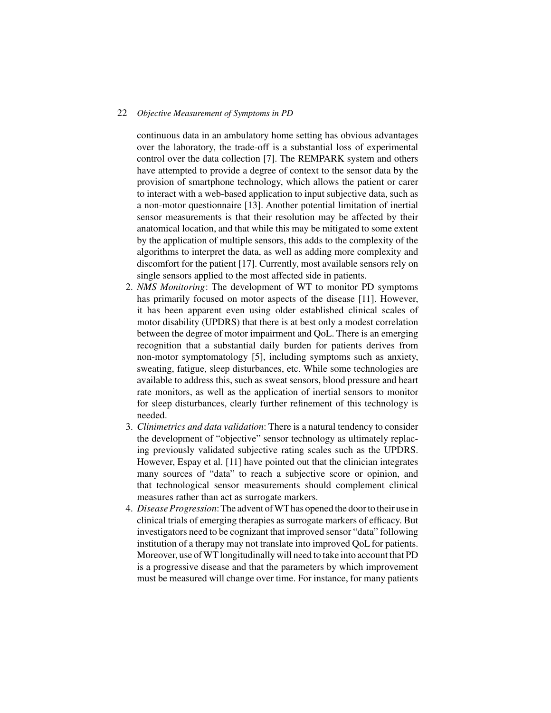continuous data in an ambulatory home setting has obvious advantages over the laboratory, the trade-off is a substantial loss of experimental control over the data collection [7]. The REMPARK system and others have attempted to provide a degree of context to the sensor data by the provision of smartphone technology, which allows the patient or carer to interact with a web-based application to input subjective data, such as a non-motor questionnaire [13]. Another potential limitation of inertial sensor measurements is that their resolution may be affected by their anatomical location, and that while this may be mitigated to some extent by the application of multiple sensors, this adds to the complexity of the algorithms to interpret the data, as well as adding more complexity and discomfort for the patient [17]. Currently, most available sensors rely on single sensors applied to the most affected side in patients.

- 2. *NMS Monitoring*: The development of WT to monitor PD symptoms has primarily focused on motor aspects of the disease [11]. However, it has been apparent even using older established clinical scales of motor disability (UPDRS) that there is at best only a modest correlation between the degree of motor impairment and QoL. There is an emerging recognition that a substantial daily burden for patients derives from non-motor symptomatology [5], including symptoms such as anxiety, sweating, fatigue, sleep disturbances, etc. While some technologies are available to address this, such as sweat sensors, blood pressure and heart rate monitors, as well as the application of inertial sensors to monitor for sleep disturbances, clearly further refinement of this technology is needed.
- 3. *Clinimetrics and data validation*: There is a natural tendency to consider the development of "objective" sensor technology as ultimately replacing previously validated subjective rating scales such as the UPDRS. However, Espay et al. [11] have pointed out that the clinician integrates many sources of "data" to reach a subjective score or opinion, and that technological sensor measurements should complement clinical measures rather than act as surrogate markers.
- 4. *Disease Progression*:The advent ofWThas opened the door to their use in clinical trials of emerging therapies as surrogate markers of efficacy. But investigators need to be cognizant that improved sensor "data" following institution of a therapy may not translate into improved QoL for patients. Moreover, use of WT longitudinally will need to take into account that PD is a progressive disease and that the parameters by which improvement must be measured will change over time. For instance, for many patients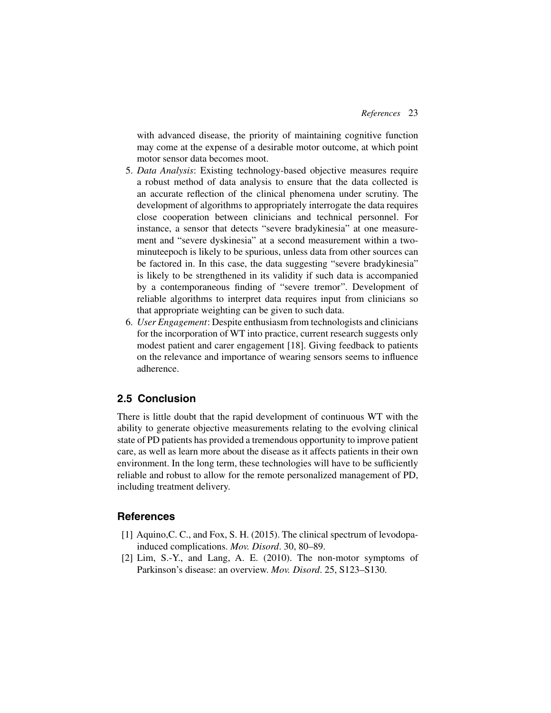with advanced disease, the priority of maintaining cognitive function may come at the expense of a desirable motor outcome, at which point motor sensor data becomes moot.

- 5. *Data Analysis*: Existing technology-based objective measures require a robust method of data analysis to ensure that the data collected is an accurate reflection of the clinical phenomena under scrutiny. The development of algorithms to appropriately interrogate the data requires close cooperation between clinicians and technical personnel. For instance, a sensor that detects "severe bradykinesia" at one measurement and "severe dyskinesia" at a second measurement within a twominuteepoch is likely to be spurious, unless data from other sources can be factored in. In this case, the data suggesting "severe bradykinesia" is likely to be strengthened in its validity if such data is accompanied by a contemporaneous finding of "severe tremor". Development of reliable algorithms to interpret data requires input from clinicians so that appropriate weighting can be given to such data.
- 6. *User Engagement*: Despite enthusiasm from technologists and clinicians for the incorporation of WT into practice, current research suggests only modest patient and carer engagement [18]. Giving feedback to patients on the relevance and importance of wearing sensors seems to influence adherence.

#### **2.5 Conclusion**

There is little doubt that the rapid development of continuous WT with the ability to generate objective measurements relating to the evolving clinical state of PD patients has provided a tremendous opportunity to improve patient care, as well as learn more about the disease as it affects patients in their own environment. In the long term, these technologies will have to be sufficiently reliable and robust to allow for the remote personalized management of PD, including treatment delivery.

### **References**

- [1] Aquino,C. C., and Fox, S. H. (2015). The clinical spectrum of levodopainduced complications. *Mov. Disord*. 30, 80–89.
- [2] Lim, S.-Y., and Lang, A. E. (2010). The non-motor symptoms of Parkinson's disease: an overview. *Mov. Disord*. 25, S123–S130.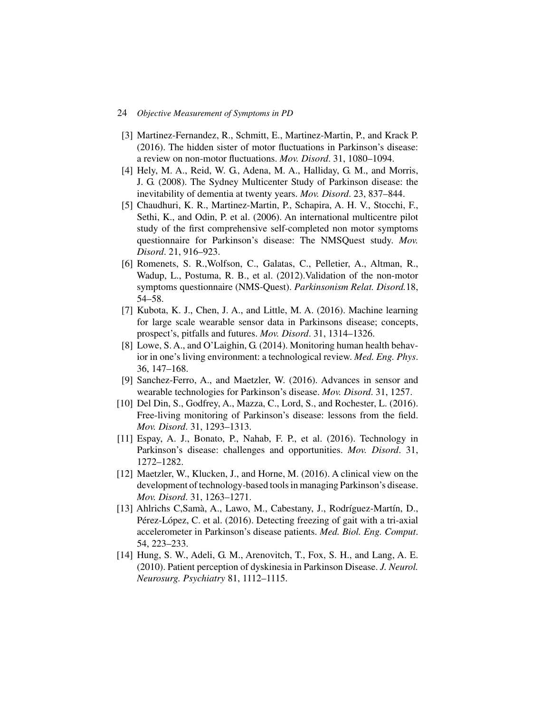- [3] Martinez-Fernandez, R., Schmitt, E., Martinez-Martin, P., and Krack P. (2016). The hidden sister of motor fluctuations in Parkinson's disease: a review on non-motor fluctuations. *Mov. Disord*. 31, 1080–1094.
- [4] Hely, M. A., Reid, W. G., Adena, M. A., Halliday, G. M., and Morris, J. G. (2008). The Sydney Multicenter Study of Parkinson disease: the inevitability of dementia at twenty years. *Mov. Disord*. 23, 837–844.
- [5] Chaudhuri, K. R., Martinez-Martin, P., Schapira, A. H. V., Stocchi, F., Sethi, K., and Odin, P. et al. (2006). An international multicentre pilot study of the first comprehensive self-completed non motor symptoms questionnaire for Parkinson's disease: The NMSQuest study. *Mov. Disord*. 21, 916–923.
- [6] Romenets, S. R.,Wolfson, C., Galatas, C., Pelletier, A., Altman, R., Wadup, L., Postuma, R. B., et al. (2012).Validation of the non-motor symptoms questionnaire (NMS-Quest). *Parkinsonism Relat. Disord.*18, 54–58.
- [7] Kubota, K. J., Chen, J. A., and Little, M. A. (2016). Machine learning for large scale wearable sensor data in Parkinsons disease; concepts, prospect's, pitfalls and futures. *Mov. Disord*. 31, 1314–1326.
- [8] Lowe, S. A., and O'Laighin, G. (2014). Monitoring human health behavior in one's living environment: a technological review. *Med. Eng. Phys*. 36, 147–168.
- [9] Sanchez-Ferro, A., and Maetzler, W. (2016). Advances in sensor and wearable technologies for Parkinson's disease. *Mov. Disord*. 31, 1257.
- [10] Del Din, S., Godfrey, A., Mazza, C., Lord, S., and Rochester, L. (2016). Free-living monitoring of Parkinson's disease: lessons from the field. *Mov. Disord*. 31, 1293–1313.
- [11] Espay, A. J., Bonato, P., Nahab, F. P., et al. (2016). Technology in Parkinson's disease: challenges and opportunities. *Mov. Disord*. 31, 1272–1282.
- [12] Maetzler, W., Klucken, J., and Horne, M. (2016). A clinical view on the development of technology-based tools in managing Parkinson's disease. *Mov. Disord*. 31, 1263–1271.
- [13] Ahlrichs C,Samà, A., Lawo, M., Cabestany, J., Rodríguez-Martín, D., Pérez-López, C. et al. (2016). Detecting freezing of gait with a tri-axial accelerometer in Parkinson's disease patients. *Med. Biol. Eng. Comput*. 54, 223–233.
- [14] Hung, S. W., Adeli, G. M., Arenovitch, T., Fox, S. H., and Lang, A. E. (2010). Patient perception of dyskinesia in Parkinson Disease. *J. Neurol. Neurosurg. Psychiatry* 81, 1112–1115.